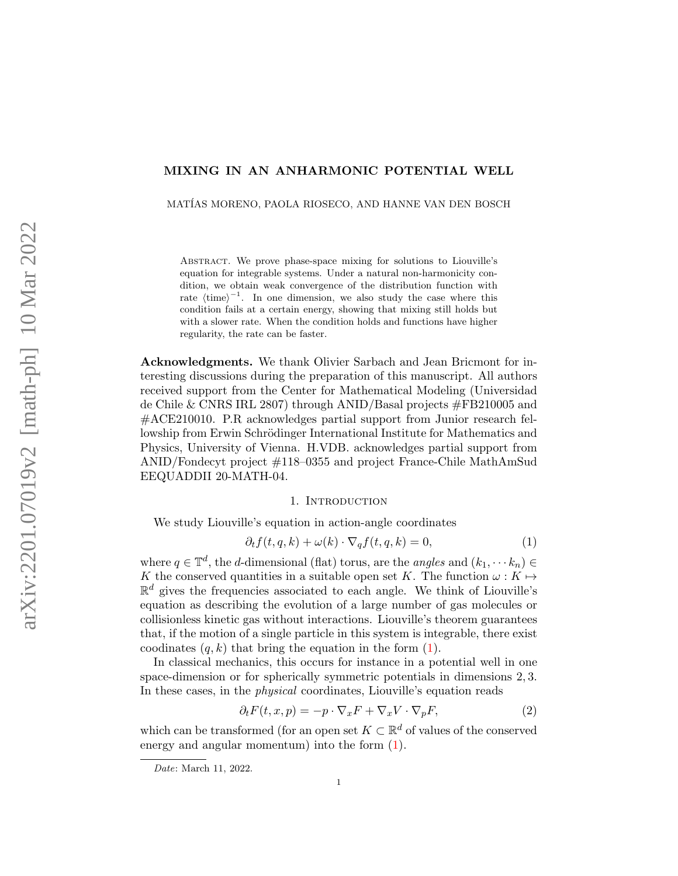# MIXING IN AN ANHARMONIC POTENTIAL WELL

MATÍAS MORENO, PAOLA RIOSECO, AND HANNE VAN DEN BOSCH

Abstract. We prove phase-space mixing for solutions to Liouville's equation for integrable systems. Under a natural non-harmonicity condition, we obtain weak convergence of the distribution function with rate  $\langle \text{time} \rangle^{-1}$ . In one dimension, we also study the case where this condition fails at a certain energy, showing that mixing still holds but with a slower rate. When the condition holds and functions have higher regularity, the rate can be faster.

Acknowledgments. We thank Olivier Sarbach and Jean Bricmont for interesting discussions during the preparation of this manuscript. All authors received support from the Center for Mathematical Modeling (Universidad de Chile & CNRS IRL 2807) through ANID/Basal projects #FB210005 and #ACE210010. P.R acknowledges partial support from Junior research fellowship from Erwin Schrödinger International Institute for Mathematics and Physics, University of Vienna. H.VDB. acknowledges partial support from ANID/Fondecyt project #118–0355 and project France-Chile MathAmSud EEQUADDII 20-MATH-04.

### 1. Introduction

We study Liouville's equation in action-angle coordinates

<span id="page-0-0"></span>
$$
\partial_t f(t, q, k) + \omega(k) \cdot \nabla_q f(t, q, k) = 0,\tag{1}
$$

where  $q \in \mathbb{T}^d$ , the d-dimensional (flat) torus, are the *angles* and  $(k_1, \dots, k_n) \in$ K the conserved quantities in a suitable open set K. The function  $\omega : K \mapsto$  $\mathbb{R}^d$  gives the frequencies associated to each angle. We think of Liouville's equation as describing the evolution of a large number of gas molecules or collisionless kinetic gas without interactions. Liouville's theorem guarantees that, if the motion of a single particle in this system is integrable, there exist coodinates  $(q, k)$  that bring the equation in the form  $(1)$ .

In classical mechanics, this occurs for instance in a potential well in one space-dimension or for spherically symmetric potentials in dimensions 2, 3. In these cases, in the physical coordinates, Liouville's equation reads

<span id="page-0-1"></span>
$$
\partial_t F(t, x, p) = -p \cdot \nabla_x F + \nabla_x V \cdot \nabla_p F,\tag{2}
$$

which can be transformed (for an open set  $K \subset \mathbb{R}^d$  of values of the conserved energy and angular momentum) into the form [\(1\)](#page-0-0).

Date: March 11, 2022.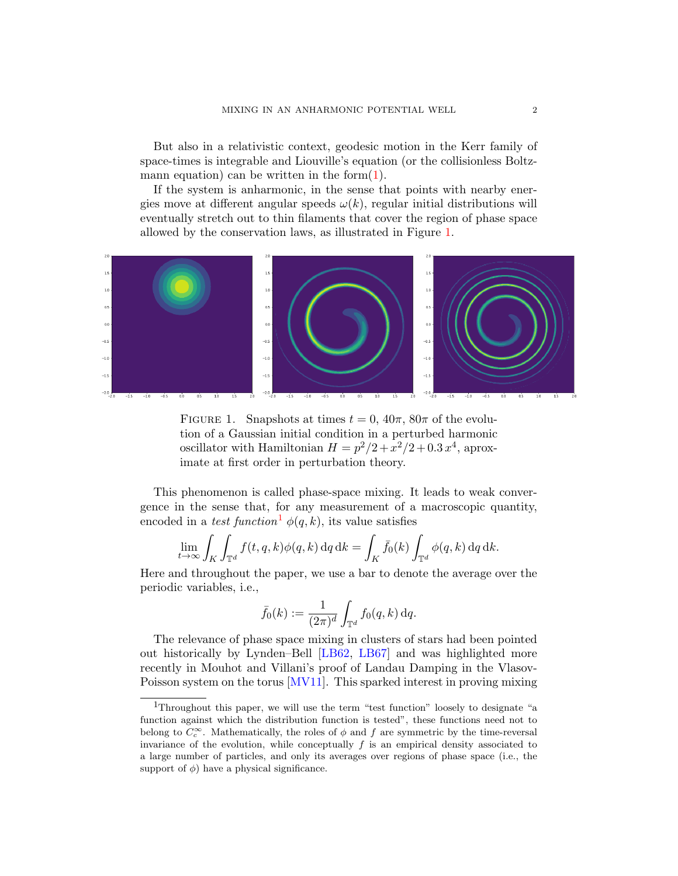But also in a relativistic context, geodesic motion in the Kerr family of space-times is integrable and Liouville's equation (or the collisionless Boltzmann equation) can be written in the form $(1)$ .

If the system is anharmonic, in the sense that points with nearby energies move at different angular speeds  $\omega(k)$ , regular initial distributions will eventually stretch out to thin filaments that cover the region of phase space allowed by the conservation laws, as illustrated in Figure [1.](#page-1-0)

<span id="page-1-0"></span>

FIGURE 1. Snapshots at times  $t = 0$ ,  $40\pi$ ,  $80\pi$  of the evolution of a Gaussian initial condition in a perturbed harmonic oscillator with Hamiltonian  $H = p^2/2 + x^2/2 + 0.3 x^4$ , aproximate at first order in perturbation theory.

This phenomenon is called phase-space mixing. It leads to weak convergence in the sense that, for any measurement of a macroscopic quantity, encoded in a test function<sup>[1](#page-1-1)</sup>  $\phi(q, k)$ , its value satisfies

$$
\lim_{t \to \infty} \int_K \int_{\mathbb{T}^d} f(t, q, k) \phi(q, k) dq dk = \int_K \bar{f}_0(k) \int_{\mathbb{T}^d} \phi(q, k) dq dk.
$$

Here and throughout the paper, we use a bar to denote the average over the periodic variables, i.e.,

$$
\bar{f}_0(k) := \frac{1}{(2\pi)^d} \int_{\mathbb{T}^d} f_0(q, k) \, dq.
$$

The relevance of phase space mixing in clusters of stars had been pointed out historically by Lynden–Bell [\[LB62,](#page-11-0) [LB67\]](#page-11-1) and was highlighted more recently in Mouhot and Villani's proof of Landau Damping in the Vlasov-Poisson system on the torus [\[MV11\]](#page-11-2). This sparked interest in proving mixing

<span id="page-1-1"></span><sup>1</sup>Throughout this paper, we will use the term "test function" loosely to designate "a function against which the distribution function is tested", these functions need not to belong to  $C_c^{\infty}$ . Mathematically, the roles of  $\phi$  and  $f$  are symmetric by the time-reversal invariance of the evolution, while conceptually  $f$  is an empirical density associated to a large number of particles, and only its averages over regions of phase space (i.e., the support of  $\phi$ ) have a physical significance.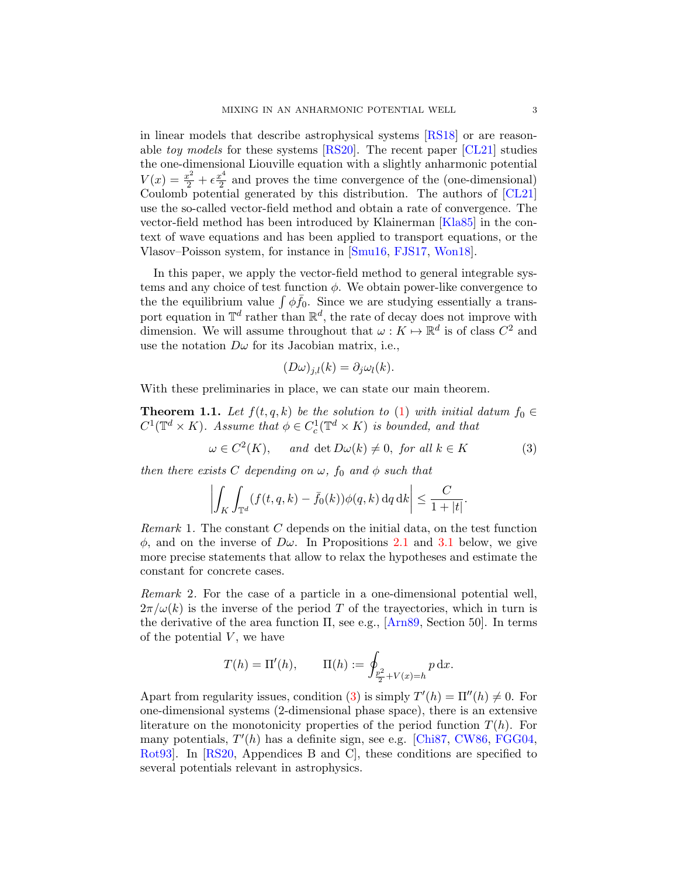in linear models that describe astrophysical systems [\[RS18\]](#page-11-3) or are reasonable toy models for these systems [\[RS20\]](#page-11-4). The recent paper [\[CL21\]](#page-11-5) studies the one-dimensional Liouville equation with a slightly anharmonic potential  $V(x) = \frac{x^2}{2} + \epsilon \frac{x^4}{2}$  $\frac{e^4}{2}$  and proves the time convergence of the (one-dimensional) Coulomb potential generated by this distribution. The authors of [\[CL21\]](#page-11-5) use the so-called vector-field method and obtain a rate of convergence. The vector-field method has been introduced by Klainerman [\[Kla85\]](#page-11-6) in the context of wave equations and has been applied to transport equations, or the Vlasov–Poisson system, for instance in [\[Smu16,](#page-11-7) [FJS17,](#page-11-8) [Won18\]](#page-11-9).

In this paper, we apply the vector-field method to general integrable systems and any choice of test function  $\phi$ . We obtain power-like convergence to the the equilibrium value  $\int \phi \bar{f}_0$ . Since we are studying essentially a transport equation in  $\mathbb{T}^d$  rather than  $\mathbb{R}^d$ , the rate of decay does not improve with dimension. We will assume throughout that  $\omega: K \mapsto \mathbb{R}^d$  is of class  $C^2$  and use the notation  $D\omega$  for its Jacobian matrix, i.e.,

$$
(D\omega)_{j,l}(k) = \partial_j \omega_l(k).
$$

With these preliminaries in place, we can state our main theorem.

<span id="page-2-1"></span>**Theorem 1.1.** Let  $f(t, q, k)$  be the solution to [\(1\)](#page-0-0) with initial datum  $f_0 \in$  $C^1(\mathbb{T}^d \times K)$ . Assume that  $\phi \in C_c^1(\mathbb{T}^d \times K)$  is bounded, and that

<span id="page-2-0"></span>
$$
\omega \in C^2(K), \quad \text{and } \det D\omega(k) \neq 0, \text{ for all } k \in K \tag{3}
$$

then there exists C depending on  $\omega$ ,  $f_0$  and  $\phi$  such that

$$
\left| \int_K \int_{\mathbb{T}^d} (f(t,q,k) - \bar{f}_0(k)) \phi(q,k) \,dq \,dk \right| \leq \frac{C}{1+|t|}.
$$

*Remark* 1. The constant  $C$  depends on the initial data, on the test function  $\phi$ , and on the inverse of  $D\omega$ . In Propositions [2.1](#page-4-0) and [3.1](#page-9-0) below, we give more precise statements that allow to relax the hypotheses and estimate the constant for concrete cases.

Remark 2. For the case of a particle in a one-dimensional potential well,  $2\pi/\omega(k)$  is the inverse of the period T of the trayectories, which in turn is the derivative of the area function  $\Pi$ , see e.g.,  $[Arn89, Section 50]$  $[Arn89, Section 50]$ . In terms of the potential  $V$ , we have

$$
T(h) = \Pi'(h), \qquad \Pi(h) := \oint_{\frac{p^2}{2} + V(x) = h} p \, dx.
$$

Apart from regularity issues, condition [\(3\)](#page-2-0) is simply  $T'(h) = \Pi''(h) \neq 0$ . For one-dimensional systems (2-dimensional phase space), there is an extensive literature on the monotonicity properties of the period function  $T(h)$ . For many potentials,  $T'(h)$  has a definite sign, see e.g. [\[Chi87,](#page-11-10) [CW86,](#page-11-11) [FGG04,](#page-11-12) [Rot93\]](#page-11-13). In [\[RS20,](#page-11-4) Appendices B and C], these conditions are specified to several potentials relevant in astrophysics.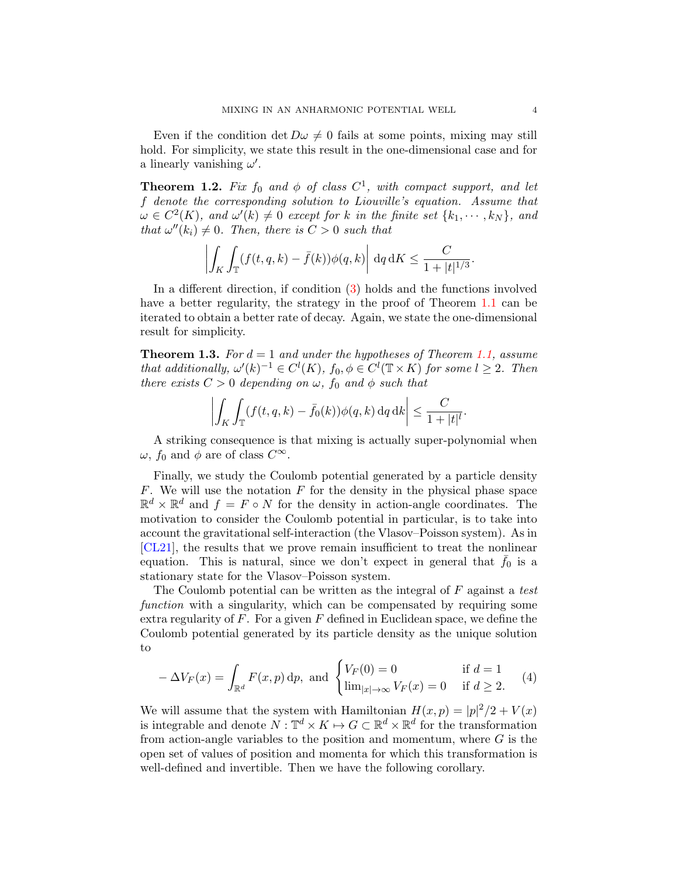Even if the condition det  $D\omega \neq 0$  fails at some points, mixing may still hold. For simplicity, we state this result in the one-dimensional case and for a linearly vanishing  $\omega'$ .

<span id="page-3-0"></span>**Theorem 1.2.** Fix  $f_0$  and  $\phi$  of class  $C^1$ , with compact support, and let f denote the corresponding solution to Liouville's equation. Assume that  $\omega \in C^2(K)$ , and  $\omega'(k) \neq 0$  except for k in the finite set  $\{k_1, \dots, k_N\}$ , and that  $\omega''(k_i) \neq 0$ . Then, there is  $C > 0$  such that

$$
\left| \int_K \int_{\mathbb{T}} (f(t,q,k) - \bar{f}(k)) \phi(q,k) \right| dq dK \leq \frac{C}{1 + |t|^{1/3}}.
$$

In a different direction, if condition [\(3\)](#page-2-0) holds and the functions involved have a better regularity, the strategy in the proof of Theorem [1.1](#page-2-1) can be iterated to obtain a better rate of decay. Again, we state the one-dimensional result for simplicity.

<span id="page-3-1"></span>**Theorem 1.3.** For  $d = 1$  and under the hypotheses of Theorem [1.1,](#page-2-1) assume that additionally,  $\omega'(k)^{-1} \in C^l(K)$ ,  $f_0, \phi \in C^l(\mathbb{T} \times K)$  for some  $l \geq 2$ . Then there exists  $C > 0$  depending on  $\omega$ ,  $f_0$  and  $\phi$  such that

$$
\left| \int_K \int_{\mathbb{T}} (f(t,q,k) - \bar{f}_0(k)) \phi(q,k) \,dq \,dk \right| \leq \frac{C}{1+|t|^l}.
$$

A striking consequence is that mixing is actually super-polynomial when  $\omega$ ,  $f_0$  and  $\phi$  are of class  $C^{\infty}$ .

Finally, we study the Coulomb potential generated by a particle density  $F$ . We will use the notation  $F$  for the density in the physical phase space  $\mathbb{R}^d \times \mathbb{R}^d$  and  $f = F \circ N$  for the density in action-angle coordinates. The motivation to consider the Coulomb potential in particular, is to take into account the gravitational self-interaction (the Vlasov–Poisson system). As in [\[CL21\]](#page-11-5), the results that we prove remain insufficient to treat the nonlinear equation. This is natural, since we don't expect in general that  $f_0$  is a stationary state for the Vlasov–Poisson system.

The Coulomb potential can be written as the integral of  $F$  against a test function with a singularity, which can be compensated by requiring some extra regularity of  $F$ . For a given  $F$  defined in Euclidean space, we define the Coulomb potential generated by its particle density as the unique solution to

$$
-\Delta V_F(x) = \int_{\mathbb{R}^d} F(x, p) \, dp, \text{ and } \begin{cases} V_F(0) = 0 & \text{if } d = 1\\ \lim_{|x| \to \infty} V_F(x) = 0 & \text{if } d \ge 2. \end{cases} (4)
$$

We will assume that the system with Hamiltonian  $H(x,p) = |p|^2/2 + V(x)$ is integrable and denote  $N: \mathbb{T}^d \times K \mapsto G \subset \mathbb{R}^d \times \mathbb{R}^d$  for the transformation from action-angle variables to the position and momentum, where  $G$  is the open set of values of position and momenta for which this transformation is well-defined and invertible. Then we have the following corollary.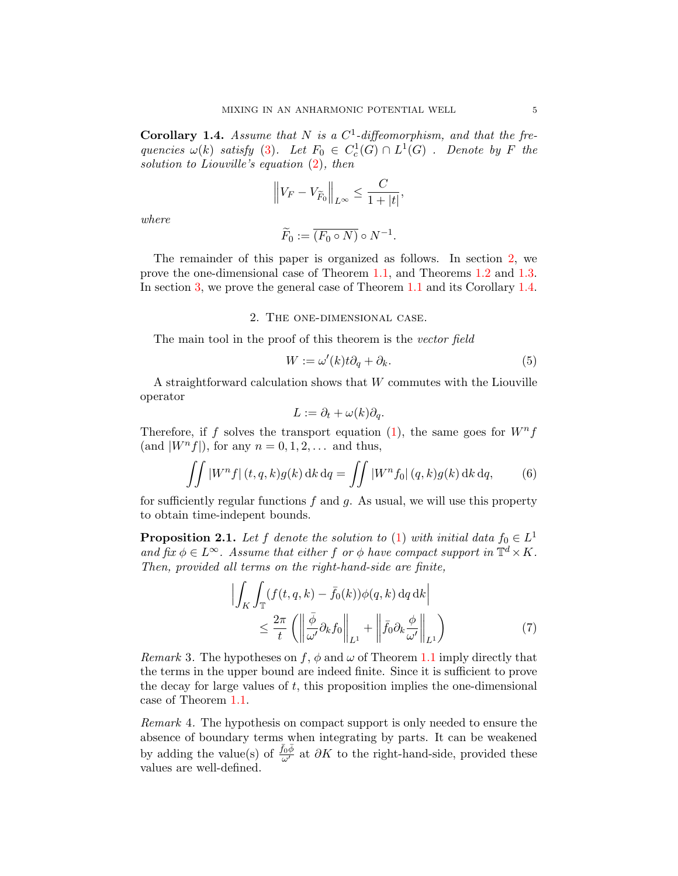<span id="page-4-2"></span>**Corollary 1.4.** Assume that N is a  $C^1$ -diffeomorphism, and that the frequencies  $\omega(k)$  satisfy [\(3\)](#page-2-0). Let  $F_0 \in C_c^1(G) \cap L^1(G)$ . Denote by F the solution to Liouville's equation  $(2)$ , then

$$
\left\|V_F-V_{\widetilde{F}_0}\right\|_{L^\infty}\leq \frac{C}{1+|t|},\,
$$

where

$$
\widetilde{F}_0 := \overline{(F_0 \circ N)} \circ N^{-1}.
$$

The remainder of this paper is organized as follows. In section [2,](#page-4-1) we prove the one-dimensional case of Theorem [1.1,](#page-2-1) and Theorems [1.2](#page-3-0) and [1.3.](#page-3-1) In section [3,](#page-9-1) we prove the general case of Theorem [1.1](#page-2-1) and its Corollary [1.4.](#page-4-2)

#### 2. The one-dimensional case.

<span id="page-4-1"></span>The main tool in the proof of this theorem is the vector field

<span id="page-4-4"></span>
$$
W := \omega'(k)t\partial_q + \partial_k.
$$
\n(5)

A straightforward calculation shows that W commutes with the Liouville operator

$$
L := \partial_t + \omega(k)\partial_q.
$$

Therefore, if f solves the transport equation [\(1\)](#page-0-0), the same goes for  $W<sup>n</sup>$ f (and  $|W^n f|$ ), for any  $n = 0, 1, 2, \ldots$  and thus,

<span id="page-4-3"></span>
$$
\iint |W^n f| (t, q, k) g(k) dk dq = \iint |W^n f_0| (q, k) g(k) dk dq, \qquad (6)
$$

for sufficiently regular functions  $f$  and  $g$ . As usual, we will use this property to obtain time-indepent bounds.

<span id="page-4-0"></span>**Proposition 2.1.** Let f denote the solution to [\(1\)](#page-0-0) with initial data  $f_0 \in L^1$ and fix  $\phi \in L^{\infty}$ . Assume that either f or  $\phi$  have compact support in  $\mathbb{T}^d \times K$ . Then, provided all terms on the right-hand-side are finite,

<span id="page-4-5"></span>
$$
\left| \int_{K} \int_{\mathbb{T}} (f(t, q, k) - \bar{f}_0(k)) \phi(q, k) \, dq \, dk \right|
$$
  

$$
\leq \frac{2\pi}{t} \left( \left\| \frac{\bar{\phi}}{\omega'} \partial_k f_0 \right\|_{L^1} + \left\| \bar{f}_0 \partial_k \frac{\phi}{\omega'} \right\|_{L^1} \right)
$$
 (7)

*Remark* 3. The hypotheses on f,  $\phi$  and  $\omega$  of Theorem [1.1](#page-2-1) imply directly that the terms in the upper bound are indeed finite. Since it is sufficient to prove the decay for large values of  $t$ , this proposition implies the one-dimensional case of Theorem [1.1.](#page-2-1)

Remark 4. The hypothesis on compact support is only needed to ensure the absence of boundary terms when integrating by parts. It can be weakened by adding the value(s) of  $\frac{\bar{f}_0 \bar{\phi}}{\omega'}$  at  $\partial K$  to the right-hand-side, provided these values are well-defined.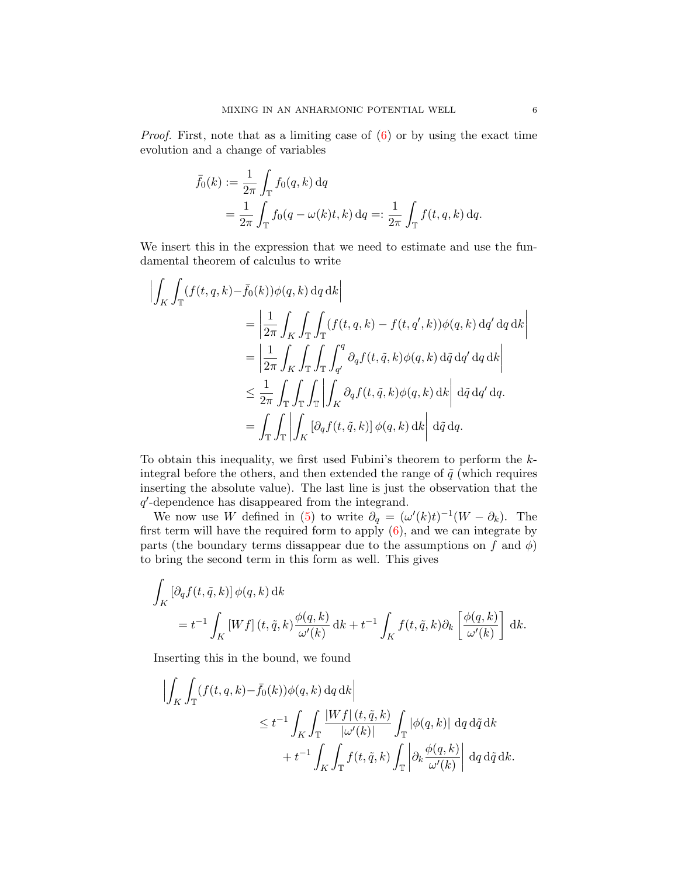*Proof.* First, note that as a limiting case of  $(6)$  or by using the exact time evolution and a change of variables

$$
\bar{f}_0(k) := \frac{1}{2\pi} \int_{\mathbb{T}} f_0(q, k) dq
$$
  
= 
$$
\frac{1}{2\pi} \int_{\mathbb{T}} f_0(q - \omega(k)t, k) dq =: \frac{1}{2\pi} \int_{\mathbb{T}} f(t, q, k) dq.
$$

We insert this in the expression that we need to estimate and use the fundamental theorem of calculus to write

$$
\begin{split}\n\left| \int_{K} \int_{\mathbb{T}} (f(t, q, k) - \bar{f}_0(k)) \phi(q, k) \, dq \, dk \right| \\
&= \left| \frac{1}{2\pi} \int_{K} \int_{\mathbb{T}} \int_{\mathbb{T}} (f(t, q, k) - f(t, q', k)) \phi(q, k) \, dq' \, dq \, dk \right| \\
&= \left| \frac{1}{2\pi} \int_{K} \int_{\mathbb{T}} \int_{\mathbb{T}} \int_{q'}^{q} \partial_q f(t, \tilde{q}, k) \phi(q, k) \, d\tilde{q} \, dq' \, dq \, dk \right| \\
&\leq \frac{1}{2\pi} \int_{\mathbb{T}} \int_{\mathbb{T}} \int_{\mathbb{T}} \int_{K} \partial_q f(t, \tilde{q}, k) \phi(q, k) \, dk \right| d\tilde{q} \, dq' \, dq. \\
&= \int_{\mathbb{T}} \int_{\mathbb{T}} \left| \int_{K} [\partial_q f(t, \tilde{q}, k)] \phi(q, k) \, dk \right| d\tilde{q} \, dq.\n\end{split}
$$

To obtain this inequality, we first used Fubini's theorem to perform the kintegral before the others, and then extended the range of  $\tilde{q}$  (which requires inserting the absolute value). The last line is just the observation that the q 0 -dependence has disappeared from the integrand.

We now use W defined in [\(5\)](#page-4-4) to write  $\partial_q = (\omega'(k)t)^{-1}(W - \partial_k)$ . The first term will have the required form to apply  $(6)$ , and we can integrate by parts (the boundary terms dissappear due to the assumptions on f and  $\phi$ ) to bring the second term in this form as well. This gives

$$
\int_{K} \left[ \partial_{q} f(t, \tilde{q}, k) \right] \phi(q, k) \, \mathrm{d}k
$$
\n
$$
= t^{-1} \int_{K} \left[ W f \right](t, \tilde{q}, k) \frac{\phi(q, k)}{\omega'(k)} \, \mathrm{d}k + t^{-1} \int_{K} f(t, \tilde{q}, k) \partial_{k} \left[ \frac{\phi(q, k)}{\omega'(k)} \right] \, \mathrm{d}k.
$$

Inserting this in the bound, we found

$$
\left| \int_{K} \int_{\mathbb{T}} (f(t, q, k) - \bar{f}_0(k)) \phi(q, k) dq dk \right|
$$
  
\n
$$
\leq t^{-1} \int_{K} \int_{\mathbb{T}} \frac{|Wf| (t, \tilde{q}, k)}{|\omega'(k)|} \int_{\mathbb{T}} |\phi(q, k)| dq d\tilde{q} dk
$$
  
\n
$$
+ t^{-1} \int_{K} \int_{\mathbb{T}} f(t, \tilde{q}, k) \int_{\mathbb{T}} \left| \partial_k \frac{\phi(q, k)}{\omega'(k)} \right| dq d\tilde{q} dk.
$$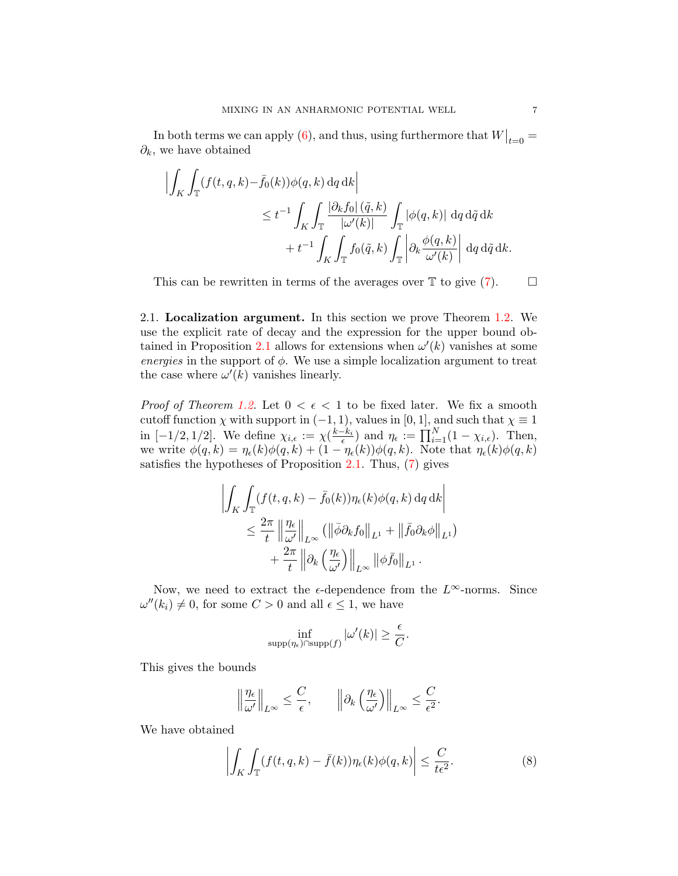In both terms we can apply [\(6\)](#page-4-3), and thus, using furthermore that  $W|_{t=0} =$  $\partial_k$ , we have obtained

$$
\left| \int_{K} \int_{\mathbb{T}} (f(t, q, k) - \bar{f}_0(k)) \phi(q, k) dq dk \right|
$$
  
\n
$$
\leq t^{-1} \int_{K} \int_{\mathbb{T}} \frac{|\partial_k f_0| (\tilde{q}, k)}{|\omega'(k)|} \int_{\mathbb{T}} |\phi(q, k)| dq d\tilde{q} dk
$$
  
\n
$$
+ t^{-1} \int_{K} \int_{\mathbb{T}} f_0(\tilde{q}, k) \int_{\mathbb{T}} \left| \partial_k \frac{\phi(q, k)}{\omega'(k)} \right| dq d\tilde{q} dk.
$$

This can be rewritten in terms of the averages over  $\mathbb T$  to give  $(7)$ .  $\Box$ 

2.1. Localization argument. In this section we prove Theorem [1.2.](#page-3-0) We use the explicit rate of decay and the expression for the upper bound ob-tained in Proposition [2.1](#page-4-0) allows for extensions when  $\omega'(k)$  vanishes at some energies in the support of  $\phi$ . We use a simple localization argument to treat the case where  $\omega'(k)$  vanishes linearly.

*Proof of Theorem [1.2.](#page-3-0)* Let  $0 < \epsilon < 1$  to be fixed later. We fix a smooth cutoff function  $\chi$  with support in  $(-1, 1)$ , values in [0, 1], and such that  $\chi \equiv 1$ in  $[-1/2, 1/2]$ . We define  $\chi_{i,\epsilon} := \chi(\frac{k-k_i}{\epsilon})$  and  $\eta_{\epsilon} := \prod_{i=1}^N (1 - \chi_{i,\epsilon})$ . Then, we write  $\phi(q,k) = \eta_{\epsilon}(k)\phi(q,k) + (1 - \eta_{\epsilon}(k))\phi(q,k)$ . Note that  $\eta_{\epsilon}(k)\phi(q,k)$ satisfies the hypotheses of Proposition [2.1.](#page-4-0) Thus, [\(7\)](#page-4-5) gives

$$
\left| \int_{K} \int_{\mathbb{T}} (f(t, q, k) - \bar{f}_{0}(k)) \eta_{\epsilon}(k) \phi(q, k) dq dk \right|
$$
  

$$
\leq \frac{2\pi}{t} \left\| \frac{\eta_{\epsilon}}{\omega'} \right\|_{L^{\infty}} (\left\| \bar{\phi} \partial_{k} f_{0} \right\|_{L^{1}} + \left\| \bar{f}_{0} \partial_{k} \phi \right\|_{L^{1}})
$$
  

$$
+ \frac{2\pi}{t} \left\| \partial_{k} \left( \frac{\eta_{\epsilon}}{\omega'} \right) \right\|_{L^{\infty}} \left\| \phi \bar{f}_{0} \right\|_{L^{1}}.
$$

Now, we need to extract the  $\epsilon$ -dependence from the  $L^{\infty}$ -norms. Since  $\omega''(k_i) \neq 0$ , for some  $C > 0$  and all  $\epsilon \leq 1$ , we have

$$
\inf_{\text{supp}(\eta_{\epsilon}) \cap \text{supp}(f)} |\omega'(k)| \ge \frac{\epsilon}{C}.
$$

This gives the bounds

$$
\left\|\frac{\eta_{\epsilon}}{\omega'}\right\|_{L^{\infty}} \leq \frac{C}{\epsilon}, \qquad \left\|\partial_{k}\left(\frac{\eta_{\epsilon}}{\omega'}\right)\right\|_{L^{\infty}} \leq \frac{C}{\epsilon^{2}}.
$$

We have obtained

<span id="page-6-0"></span>
$$
\left| \int_{K} \int_{\mathbb{T}} (f(t, q, k) - \bar{f}(k)) \eta_{\epsilon}(k) \phi(q, k) \right| \leq \frac{C}{t \epsilon^{2}}.
$$
 (8)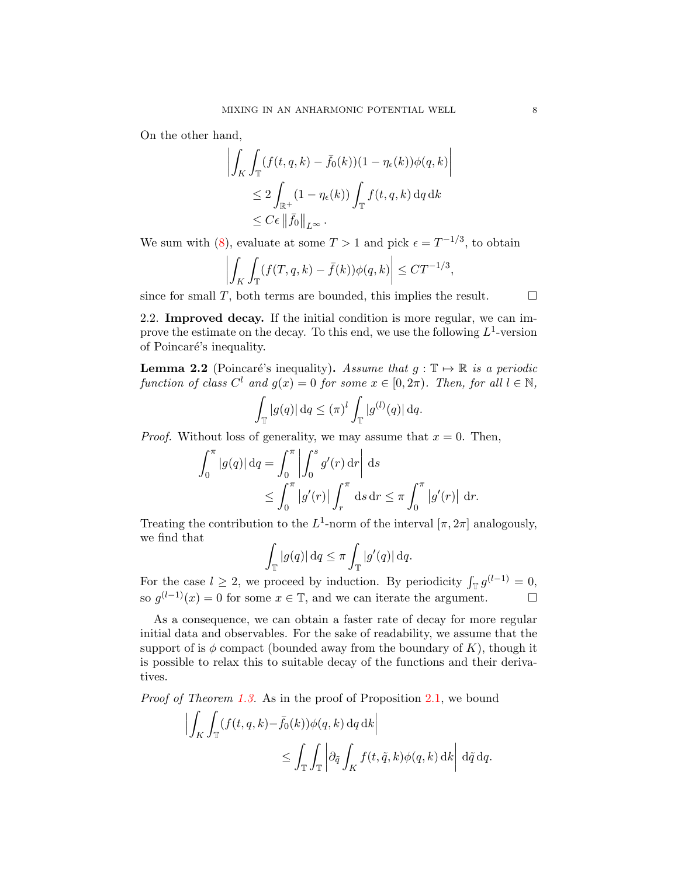On the other hand,

$$
\left| \int_{K} \int_{\mathbb{T}} (f(t, q, k) - \bar{f}_0(k))(1 - \eta_{\epsilon}(k)) \phi(q, k) \right|
$$
  
\n
$$
\leq 2 \int_{\mathbb{R}^+} (1 - \eta_{\epsilon}(k)) \int_{\mathbb{T}} f(t, q, k) dq dk
$$
  
\n
$$
\leq C \epsilon ||\bar{f}_0||_{L^{\infty}}.
$$

We sum with [\(8\)](#page-6-0), evaluate at some  $T > 1$  and pick  $\epsilon = T^{-1/3}$ , to obtain

$$
\left| \int_K \int_T (f(T, q, k) - \bar{f}(k)) \phi(q, k) \right| \leq C T^{-1/3},
$$

since for small T, both terms are bounded, this implies the result.  $\Box$ 

2.2. Improved decay. If the initial condition is more regular, we can improve the estimate on the decay. To this end, we use the following  $L^1$ -version of Poincaré's inequality.

<span id="page-7-0"></span>**Lemma 2.2** (Poincaré's inequality). Assume that  $g : \mathbb{T} \to \mathbb{R}$  is a periodic function of class  $C^l$  and  $g(x) = 0$  for some  $x \in [0, 2\pi)$ . Then, for all  $l \in \mathbb{N}$ ,

$$
\int_{\mathbb{T}} |g(q)| \, dq \leq (\pi)^l \int_{\mathbb{T}} |g^{(l)}(q)| \, dq.
$$

*Proof.* Without loss of generality, we may assume that  $x = 0$ . Then,

$$
\int_0^\pi |g(q)| \, dq = \int_0^\pi \left| \int_0^s g'(r) \, dr \right| \, ds
$$
  

$$
\leq \int_0^\pi |g'(r)| \int_r^\pi \, ds \, dr \leq \pi \int_0^\pi |g'(r)| \, dr.
$$

Treating the contribution to the  $L^1$ -norm of the interval  $[\pi, 2\pi]$  analogously, we find that

$$
\int_{\mathbb{T}} |g(q)| \, dq \le \pi \int_{\mathbb{T}} |g'(q)| \, dq.
$$

For the case  $l \geq 2$ , we proceed by induction. By periodicity  $\int_{\mathbb{T}} g^{(l-1)} = 0$ , so  $g^{(l-1)}(x) = 0$  for some  $x \in \mathbb{T}$ , and we can iterate the argument.

As a consequence, we can obtain a faster rate of decay for more regular initial data and observables. For the sake of readability, we assume that the support of is  $\phi$  compact (bounded away from the boundary of K), though it is possible to relax this to suitable decay of the functions and their derivatives.

Proof of Theorem [1.3.](#page-3-1) As in the proof of Proposition [2.1,](#page-4-0) we bound

$$
\left| \int_{K} \int_{\mathbb{T}} (f(t, q, k) - \bar{f}_0(k)) \phi(q, k) \, dq \, dk \right|
$$
  

$$
\leq \int_{\mathbb{T}} \int_{\mathbb{T}} \left| \partial_{\tilde{q}} \int_{K} f(t, \tilde{q}, k) \phi(q, k) \, dk \right| d\tilde{q} \, dq.
$$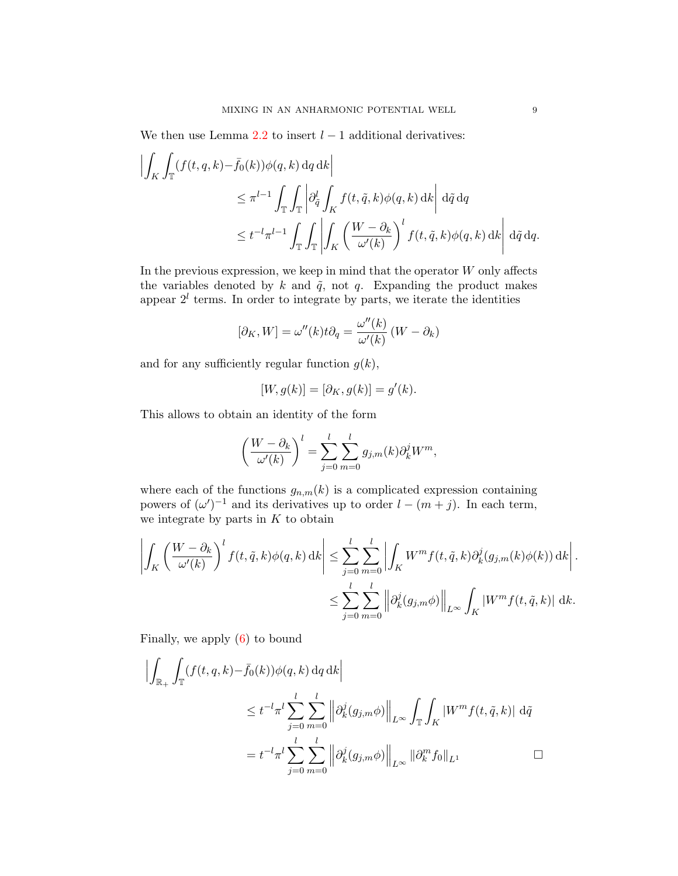We then use Lemma  $2.2$  to insert  $l-1$  additional derivatives:

$$
\left| \int_{K} \int_{\mathbb{T}} (f(t, q, k) - \bar{f}_0(k)) \phi(q, k) dq dk \right|
$$
  
\n
$$
\leq \pi^{l-1} \int_{\mathbb{T}} \int_{\mathbb{T}} \left| \partial_{\tilde{q}}^l \int_{K} f(t, \tilde{q}, k) \phi(q, k) dk \right| d\tilde{q} dq
$$
  
\n
$$
\leq t^{-l} \pi^{l-1} \int_{\mathbb{T}} \int_{\mathbb{T}} \left| \int_{K} \left( \frac{W - \partial_k}{\omega'(k)} \right)^l f(t, \tilde{q}, k) \phi(q, k) dk \right| d\tilde{q} dq.
$$

In the previous expression, we keep in mind that the operator  $W$  only affects the variables denoted by  $k$  and  $\tilde{q}$ , not  $q$ . Expanding the product makes appear  $2^l$  terms. In order to integrate by parts, we iterate the identities

$$
[\partial_K, W] = \omega''(k)t \partial_q = \frac{\omega''(k)}{\omega'(k)} (W - \partial_k)
$$

and for any sufficiently regular function  $g(k)$ ,

$$
[W, g(k)] = [\partial_K, g(k)] = g'(k).
$$

This allows to obtain an identity of the form

$$
\left(\frac{W-\partial_k}{\omega'(k)}\right)^l = \sum_{j=0}^l \sum_{m=0}^l g_{j,m}(k) \partial_k^j W^m,
$$

where each of the functions  $g_{n,m}(k)$  is a complicated expression containing powers of  $(\omega')^{-1}$  and its derivatives up to order  $l - (m + j)$ . In each term, we integrate by parts in  $K$  to obtain

$$
\left| \int_{K} \left( \frac{W - \partial_{k}}{\omega'(k)} \right)^{l} f(t, \tilde{q}, k) \phi(q, k) \, dk \right| \leq \sum_{j=0}^{l} \sum_{m=0}^{l} \left| \int_{K} W^{m} f(t, \tilde{q}, k) \partial_{k}^{j} (g_{j,m}(k) \phi(k)) \, dk \right|.
$$
  

$$
\leq \sum_{j=0}^{l} \sum_{m=0}^{l} \left\| \partial_{k}^{j} (g_{j,m} \phi) \right\|_{L^{\infty}} \int_{K} |W^{m} f(t, \tilde{q}, k)| \, dk.
$$

Finally, we apply [\(6\)](#page-4-3) to bound

$$
\left| \int_{\mathbb{R}_+} \int_{\mathbb{T}} (f(t, q, k) - \bar{f}_0(k)) \phi(q, k) dq dk \right|
$$
  
\n
$$
\leq t^{-l} \pi^l \sum_{j=0}^l \sum_{m=0}^l \left\| \partial_k^j (g_{j,m} \phi) \right\|_{L^\infty} \int_{\mathbb{T}} \int_K |W^m f(t, \tilde{q}, k)| d\tilde{q}
$$
  
\n
$$
= t^{-l} \pi^l \sum_{j=0}^l \sum_{m=0}^l \left\| \partial_k^j (g_{j,m} \phi) \right\|_{L^\infty} \left\| \partial_k^m f_0 \right\|_{L^1} \qquad \Box
$$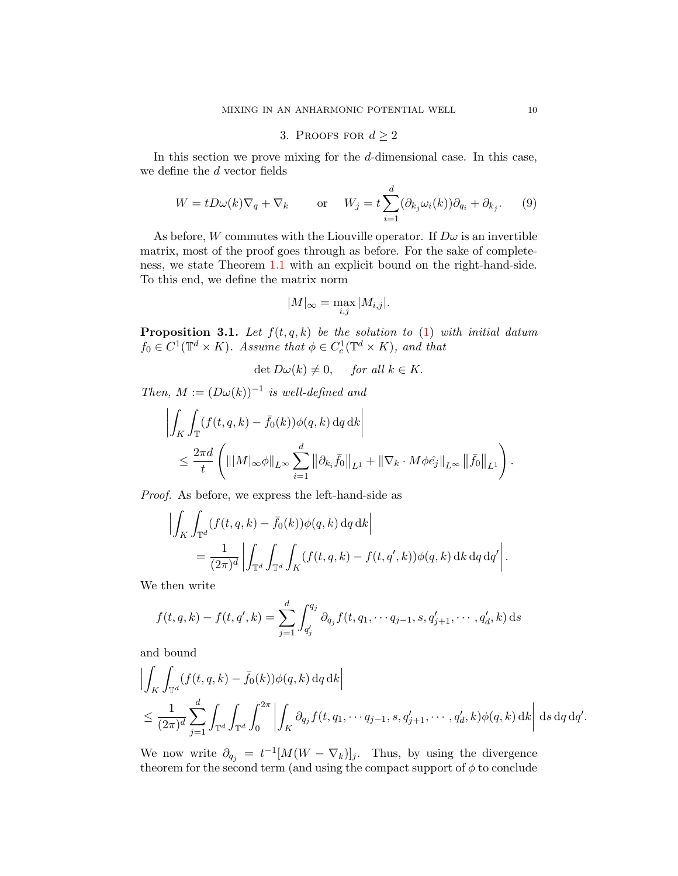# 3. PROOFS FOR  $d \geq 2$

<span id="page-9-1"></span>In this section we prove mixing for the d-dimensional case. In this case, we define the d vector fields

$$
W = tD\omega(k)\nabla_q + \nabla_k \qquad \text{or} \quad W_j = t\sum_{i=1}^d (\partial_{k_j}\omega_i(k))\partial_{q_i} + \partial_{k_j}.
$$
 (9)

As before, W commutes with the Liouville operator. If  $D\omega$  is an invertible matrix, most of the proof goes through as before. For the sake of completeness, we state Theorem [1.1](#page-2-1) with an explicit bound on the right-hand-side. To this end, we define the matrix norm

$$
|M|_{\infty} = \max_{i,j} |M_{i,j}|.
$$

<span id="page-9-0"></span>**Proposition 3.1.** Let  $f(t, q, k)$  be the solution to [\(1\)](#page-0-0) with initial datum  $f_0 \in C^1(\mathbb{T}^d \times K)$ . Assume that  $\phi \in C_c^1(\mathbb{T}^d \times K)$ , and that

$$
\det D\omega(k) \neq 0, \quad \text{for all } k \in K.
$$

Then,  $M := (D\omega(k))^{-1}$  is well-defined and

$$
\left| \int_{K} \int_{\mathbb{T}} (f(t, q, k) - \bar{f}_0(k)) \phi(q, k) dq dk \right|
$$
  

$$
\leq \frac{2\pi d}{t} \left( |||M|_{\infty} \phi||_{L^{\infty}} \sum_{i=1}^{d} ||\partial_{k_i} \bar{f}_0||_{L^1} + ||\nabla_k \cdot M \phi \hat{e}_j||_{L^{\infty}} ||\bar{f}_0||_{L^1} \right).
$$

Proof. As before, we express the left-hand-side as

$$
\left| \int_K \int_{\mathbb{T}^d} (f(t, q, k) - \bar{f}_0(k)) \phi(q, k) dq dk \right|
$$
  
= 
$$
\frac{1}{(2\pi)^d} \left| \int_{\mathbb{T}^d} \int_{\mathbb{T}^d} \int_K (f(t, q, k) - f(t, q', k)) \phi(q, k) dk dq dq' \right|.
$$

We then write

$$
f(t, q, k) - f(t, q', k) = \sum_{j=1}^{d} \int_{q'_j}^{q_j} \partial_{q_j} f(t, q_1, \cdots q_{j-1}, s, q'_{j+1}, \cdots, q'_d, k) ds
$$

and bound

$$
\left| \int_{K} \int_{\mathbb{T}^{d}} (f(t, q, k) - \bar{f}_{0}(k)) \phi(q, k) dq dk \right|
$$
  
\n
$$
\leq \frac{1}{(2\pi)^{d}} \sum_{j=1}^{d} \int_{\mathbb{T}^{d}} \int_{\mathbb{T}^{d}} \int_{0}^{2\pi} \left| \int_{K} \partial_{q_{j}} f(t, q_{1}, \dots q_{j-1}, s, q'_{j+1}, \dots, q'_{d}, k) \phi(q, k) dk \right| ds dq dq'.
$$

We now write  $\partial_{q_j} = t^{-1} [M(W - \nabla_k)]_j$ . Thus, by using the divergence theorem for the second term (and using the compact support of  $\phi$  to conclude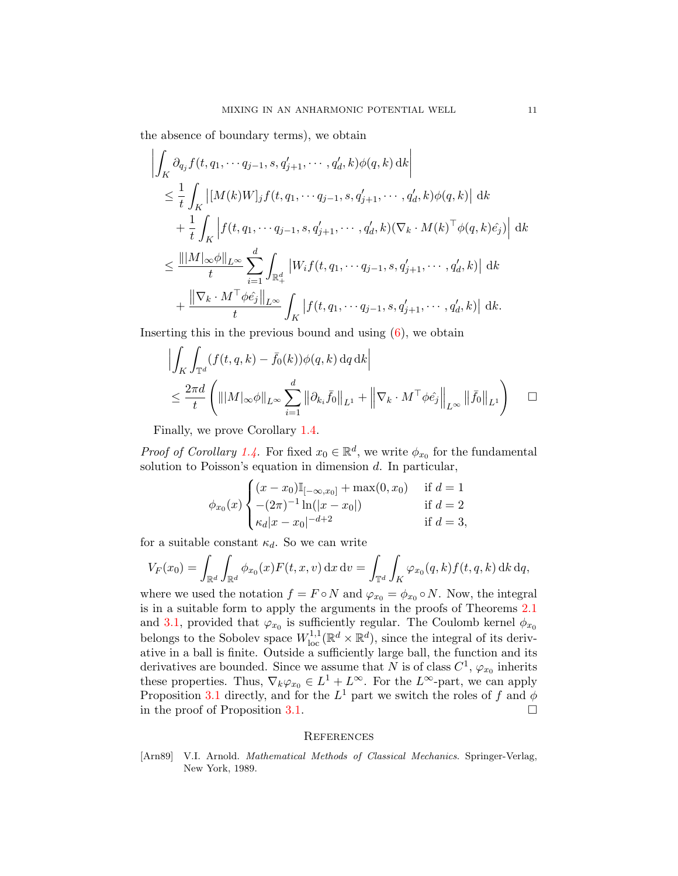the absence of boundary terms), we obtain

$$
\left| \int_{K} \partial_{q_{j}} f(t, q_{1}, \dots q_{j-1}, s, q'_{j+1}, \dots, q'_{d}, k) \phi(q, k) \, dk \right|
$$
\n
$$
\leq \frac{1}{t} \int_{K} \left| [M(k)W]_{j} f(t, q_{1}, \dots q_{j-1}, s, q'_{j+1}, \dots, q'_{d}, k) \phi(q, k) \right| \, dk
$$
\n
$$
+ \frac{1}{t} \int_{K} \left| f(t, q_{1}, \dots q_{j-1}, s, q'_{j+1}, \dots, q'_{d}, k) (\nabla_{k} \cdot M(k)^{\top} \phi(q, k) \hat{e}_{j}) \right| \, dk
$$
\n
$$
\leq \frac{\| |M|_{\infty} \phi \|_{L^{\infty}}}{t} \sum_{i=1}^{d} \int_{\mathbb{R}^{d}_{+}} \left| W_{i} f(t, q_{1}, \dots q_{j-1}, s, q'_{j+1}, \dots, q'_{d}, k) \right| \, dk
$$
\n
$$
+ \frac{\| \nabla_{k} \cdot M^{\top} \phi \hat{e}_{j} \|_{L^{\infty}}}{t} \int_{K} \left| f(t, q_{1}, \dots q_{j-1}, s, q'_{j+1}, \dots, q'_{d}, k) \right| \, dk.
$$

Inserting this in the previous bound and using  $(6)$ , we obtain

$$
\left| \int_{K} \int_{\mathbb{T}^d} (f(t, q, k) - \bar{f}_0(k)) \phi(q, k) dq dk \right|
$$
  

$$
\leq \frac{2\pi d}{t} \left( \| |M|_{\infty} \phi \|_{L^{\infty}} \sum_{i=1}^d \left\| \partial_{k_i} \bar{f}_0 \right\|_{L^1} + \left\| \nabla_k \cdot M^\top \phi \hat{e}_j \right\|_{L^{\infty}} \left\| \bar{f}_0 \right\|_{L^1} \right) \quad \Box
$$

Finally, we prove Corollary [1.4.](#page-4-2)

*Proof of Corollary [1.4.](#page-4-2)* For fixed  $x_0 \in \mathbb{R}^d$ , we write  $\phi_{x_0}$  for the fundamental solution to Poisson's equation in dimension  $d$ . In particular,

$$
\phi_{x_0}(x) \begin{cases}\n(x - x_0)\mathbb{I}_{[-\infty, x_0]} + \max(0, x_0) & \text{if } d = 1 \\
-(2\pi)^{-1}\ln(|x - x_0|) & \text{if } d = 2 \\
\kappa_d |x - x_0|^{-d+2} & \text{if } d = 3,\n\end{cases}
$$

for a suitable constant  $\kappa_d$ . So we can write

$$
V_F(x_0) = \int_{\mathbb{R}^d} \int_{\mathbb{R}^d} \phi_{x_0}(x) F(t, x, v) dx dv = \int_{\mathbb{T}^d} \int_K \varphi_{x_0}(q, k) f(t, q, k) dk dq,
$$

where we used the notation  $f = F \circ N$  and  $\varphi_{x_0} = \phi_{x_0} \circ N$ . Now, the integral is in a suitable form to apply the arguments in the proofs of Theorems [2.1](#page-4-0) and [3.1,](#page-9-0) provided that  $\varphi_{x_0}$  is sufficiently regular. The Coulomb kernel  $\phi_{x_0}$ belongs to the Sobolev space  $W^{1,1}_{loc}(\mathbb{R}^d \times \mathbb{R}^d)$ , since the integral of its derivative in a ball is finite. Outside a sufficiently large ball, the function and its derivatives are bounded. Since we assume that N is of class  $C^1$ ,  $\varphi_{x_0}$  inherits these properties. Thus,  $\nabla_k \varphi_{x_0} \in L^1 + L^{\infty}$ . For the  $L^{\infty}$ -part, we can apply Proposition [3.1](#page-9-0) directly, and for the  $L^1$  part we switch the roles of f and  $\phi$ in the proof of Proposition [3.1.](#page-9-0)

### **REFERENCES**

<span id="page-10-0"></span>[Arn89] V.I. Arnold. Mathematical Methods of Classical Mechanics. Springer-Verlag, New York, 1989.